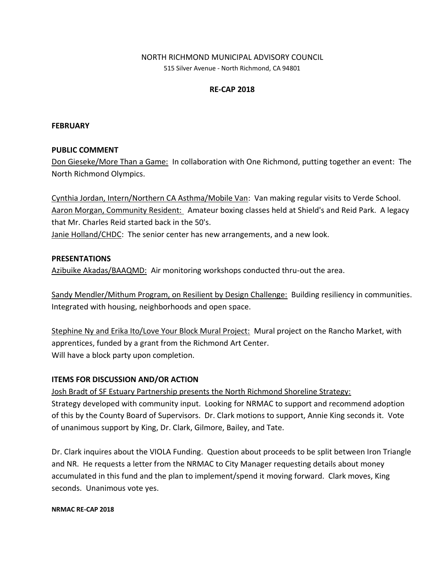### NORTH RICHMOND MUNICIPAL ADVISORY COUNCIL

515 Silver Avenue - North Richmond, CA 94801

### **RE-CAP 2018**

#### **FEBRUARY**

#### **PUBLIC COMMENT**

Don Gieseke/More Than a Game: In collaboration with One Richmond, putting together an event: The North Richmond Olympics.

Cynthia Jordan, Intern/Northern CA Asthma/Mobile Van: Van making regular visits to Verde School. Aaron Morgan, Community Resident: Amateur boxing classes held at Shield's and Reid Park. A legacy that Mr. Charles Reid started back in the 50's. Janie Holland/CHDC: The senior center has new arrangements, and a new look.

#### **PRESENTATIONS**

Azibuike Akadas/BAAQMD: Air monitoring workshops conducted thru-out the area.

Sandy Mendler/Mithum Program, on Resilient by Design Challenge: Building resiliency in communities. Integrated with housing, neighborhoods and open space.

Stephine Ny and Erika Ito/Love Your Block Mural Project: Mural project on the Rancho Market, with apprentices, funded by a grant from the Richmond Art Center. Will have a block party upon completion.

#### **ITEMS FOR DISCUSSION AND/OR ACTION**

Josh Bradt of SF Estuary Partnership presents the North Richmond Shoreline Strategy: Strategy developed with community input. Looking for NRMAC to support and recommend adoption of this by the County Board of Supervisors. Dr. Clark motions to support, Annie King seconds it. Vote of unanimous support by King, Dr. Clark, Gilmore, Bailey, and Tate.

Dr. Clark inquires about the VIOLA Funding. Question about proceeds to be split between Iron Triangle and NR. He requests a letter from the NRMAC to City Manager requesting details about money accumulated in this fund and the plan to implement/spend it moving forward. Clark moves, King seconds. Unanimous vote yes.

#### **NRMAC RE-CAP 2018**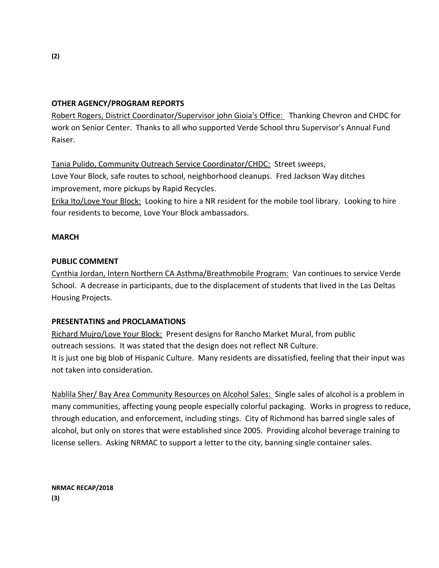### **OTHER AGENCY/PROGRAM REPORTS**

Robert Rogers, District Coordinator/Supervisor john Gioia's Office: Thanking Chevron and CHDC for work on Senior Center. Thanks to all who supported Verde School thru Supervisor's Annual Fund Raiser.

Tania Pulido, Community Outreach Service Coordinator/CHDC: Street sweeps, Love Your Block, safe routes to school, neighborhood cleanups. Fred Jackson Way ditches improvement, more pickups by Rapid Recycles.

Erika Ito/Love Your Block: Looking to hire a NR resident for the mobile tool library. Looking to hire four residents to become, Love Your Block ambassadors.

#### **MARCH**

#### **PUBLIC COMMENT**

Cynthia Jordan, Intern Northern CA Asthma/Breathmobile Program: Van continues to service Verde School. A decrease in participants, due to the displacement of students that lived in the Las Deltas Housing Projects.

#### **PRESENTATINS and PROCLAMATIONS**

Richard Mujro/Love Your Block: Present designs for Rancho Market Mural, from public outreach sessions. It was stated that the design does not reflect NR Culture. It is just one big blob of Hispanic Culture. Many residents are dissatisfied, feeling that their input was not taken into consideration.

Nablila Sher/ Bay Area Community Resources on Alcohol Sales: Single sales of alcohol is a problem in many communities, affecting young people especially colorful packaging. Works in progress to reduce, through education, and enforcement, including stings. City of Richmond has barred single sales of alcohol, but only on stores that were established since 2005. Providing alcohol beverage training to license sellers. Asking NRMAC to support a letter to the city, banning single container sales.

**NRMAC RECAP/2018 (3)**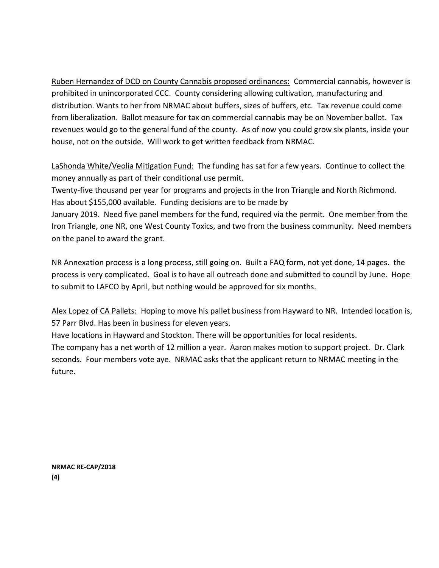Ruben Hernandez of DCD on County Cannabis proposed ordinances: Commercial cannabis, however is prohibited in unincorporated CCC. County considering allowing cultivation, manufacturing and distribution. Wants to her from NRMAC about buffers, sizes of buffers, etc. Tax revenue could come from liberalization. Ballot measure for tax on commercial cannabis may be on November ballot. Tax revenues would go to the general fund of the county. As of now you could grow six plants, inside your house, not on the outside. Will work to get written feedback from NRMAC.

LaShonda White/Veolia Mitigation Fund: The funding has sat for a few years. Continue to collect the money annually as part of their conditional use permit.

Twenty-five thousand per year for programs and projects in the Iron Triangle and North Richmond. Has about \$155,000 available. Funding decisions are to be made by

January 2019. Need five panel members for the fund, required via the permit. One member from the Iron Triangle, one NR, one West County Toxics, and two from the business community. Need members on the panel to award the grant.

NR Annexation process is a long process, still going on. Built a FAQ form, not yet done, 14 pages. the process is very complicated. Goal is to have all outreach done and submitted to council by June. Hope to submit to LAFCO by April, but nothing would be approved for six months.

Alex Lopez of CA Pallets: Hoping to move his pallet business from Hayward to NR. Intended location is, 57 Parr Blvd. Has been in business for eleven years.

Have locations in Hayward and Stockton. There will be opportunities for local residents. The company has a net worth of 12 million a year. Aaron makes motion to support project. Dr. Clark seconds. Four members vote aye. NRMAC asks that the applicant return to NRMAC meeting in the future.

**NRMAC RE-CAP/2018 (4)**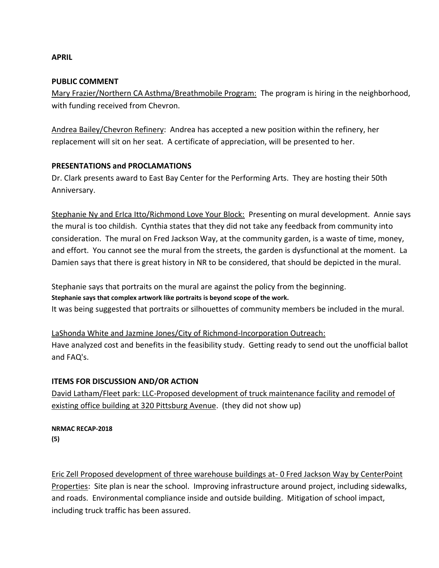### **APRIL**

#### **PUBLIC COMMENT**

Mary Frazier/Northern CA Asthma/Breathmobile Program: The program is hiring in the neighborhood, with funding received from Chevron.

Andrea Bailey/Chevron Refinery: Andrea has accepted a new position within the refinery, her replacement will sit on her seat. A certificate of appreciation, will be presented to her.

#### **PRESENTATIONS and PROCLAMATIONS**

Dr. Clark presents award to East Bay Center for the Performing Arts. They are hosting their 50th Anniversary.

Stephanie Ny and ErIca Itto/Richmond Love Your Block: Presenting on mural development. Annie says the mural is too childish. Cynthia states that they did not take any feedback from community into consideration. The mural on Fred Jackson Way, at the community garden, is a waste of time, money, and effort. You cannot see the mural from the streets, the garden is dysfunctional at the moment. La Damien says that there is great history in NR to be considered, that should be depicted in the mural.

Stephanie says that portraits on the mural are against the policy from the beginning. **Stephanie says that complex artwork like portraits is beyond scope of the work.** It was being suggested that portraits or silhouettes of community members be included in the mural.

LaShonda White and Jazmine Jones/City of Richmond-Incorporation Outreach: Have analyzed cost and benefits in the feasibility study. Getting ready to send out the unofficial ballot and FAQ's.

#### **ITEMS FOR DISCUSSION AND/OR ACTION**

David Latham/Fleet park: LLC-Proposed development of truck maintenance facility and remodel of existing office building at 320 Pittsburg Avenue. (they did not show up)

**NRMAC RECAP-2018 (5)**

Eric Zell Proposed development of three warehouse buildings at- 0 Fred Jackson Way by CenterPoint Properties: Site plan is near the school. Improving infrastructure around project, including sidewalks, and roads. Environmental compliance inside and outside building. Mitigation of school impact, including truck traffic has been assured.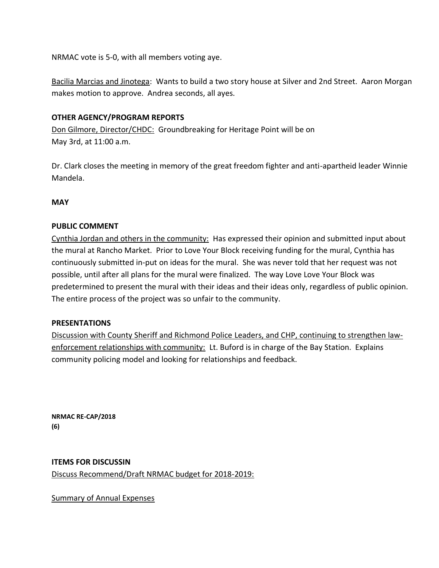NRMAC vote is 5-0, with all members voting aye.

Bacilia Marcias and Jinotega: Wants to build a two story house at Silver and 2nd Street. Aaron Morgan makes motion to approve. Andrea seconds, all ayes.

### **OTHER AGENCY/PROGRAM REPORTS**

Don Gilmore, Director/CHDC: Groundbreaking for Heritage Point will be on May 3rd, at 11:00 a.m.

Dr. Clark closes the meeting in memory of the great freedom fighter and anti-apartheid leader Winnie Mandela.

**MAY**

### **PUBLIC COMMENT**

Cynthia Jordan and others in the community: Has expressed their opinion and submitted input about the mural at Rancho Market. Prior to Love Your Block receiving funding for the mural, Cynthia has continuously submitted in-put on ideas for the mural. She was never told that her request was not possible, until after all plans for the mural were finalized. The way Love Love Your Block was predetermined to present the mural with their ideas and their ideas only, regardless of public opinion. The entire process of the project was so unfair to the community.

#### **PRESENTATIONS**

Discussion with County Sheriff and Richmond Police Leaders, and CHP, continuing to strengthen lawenforcement relationships with community: Lt. Buford is in charge of the Bay Station. Explains community policing model and looking for relationships and feedback.

**NRMAC RE-CAP/2018 (6)**

**ITEMS FOR DISCUSSIN** Discuss Recommend/Draft NRMAC budget for 2018-2019:

Summary of Annual Expenses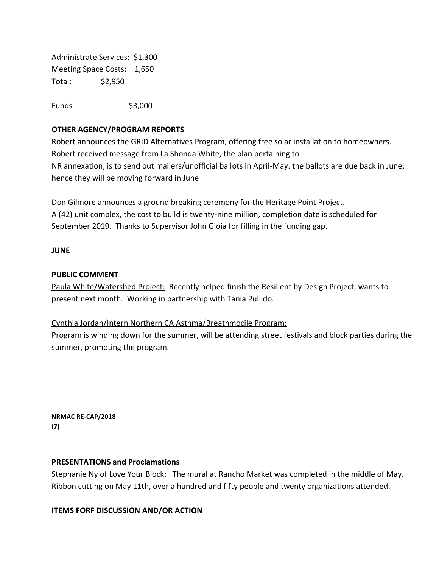Administrate Services: \$1,300 Meeting Space Costs: 1,650 Total: \$2,950

Funds \$3,000

## **OTHER AGENCY/PROGRAM REPORTS**

Robert announces the GRID Alternatives Program, offering free solar installation to homeowners. Robert received message from La Shonda White, the plan pertaining to NR annexation, is to send out mailers/unofficial ballots in April-May. the ballots are due back in June; hence they will be moving forward in June

Don Gilmore announces a ground breaking ceremony for the Heritage Point Project. A (42) unit complex, the cost to build is twenty-nine million, completion date is scheduled for September 2019. Thanks to Supervisor John Gioia for filling in the funding gap.

#### **JUNE**

#### **PUBLIC COMMENT**

Paula White/Watershed Project: Recently helped finish the Resilient by Design Project, wants to present next month. Working in partnership with Tania Pullido.

#### Cynthia Jordan/Intern Northern CA Asthma/Breathmocile Program:

Program is winding down for the summer, will be attending street festivals and block parties during the summer, promoting the program.

**NRMAC RE-CAP/2018 (7)**

#### **PRESENTATIONS and Proclamations**

Stephanie Ny of Love Your Block: The mural at Rancho Market was completed in the middle of May. Ribbon cutting on May 11th, over a hundred and fifty people and twenty organizations attended.

**ITEMS FORF DISCUSSION AND/OR ACTION**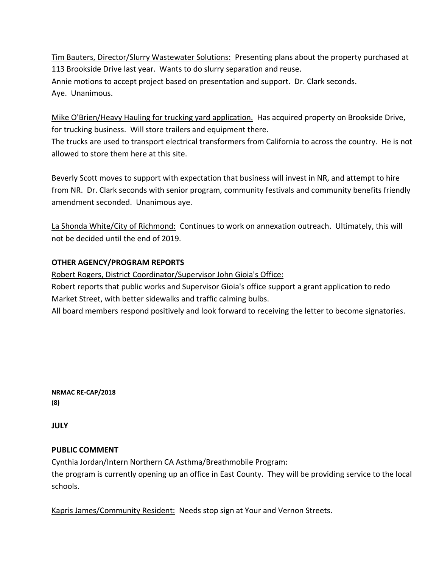Tim Bauters, Director/Slurry Wastewater Solutions: Presenting plans about the property purchased at 113 Brookside Drive last year. Wants to do slurry separation and reuse. Annie motions to accept project based on presentation and support. Dr. Clark seconds. Aye. Unanimous.

Mike O'Brien/Heavy Hauling for trucking yard application. Has acquired property on Brookside Drive, for trucking business. Will store trailers and equipment there.

The trucks are used to transport electrical transformers from California to across the country. He is not allowed to store them here at this site.

Beverly Scott moves to support with expectation that business will invest in NR, and attempt to hire from NR. Dr. Clark seconds with senior program, community festivals and community benefits friendly amendment seconded. Unanimous aye.

La Shonda White/City of Richmond: Continues to work on annexation outreach. Ultimately, this will not be decided until the end of 2019.

# **OTHER AGENCY/PROGRAM REPORTS**

Robert Rogers, District Coordinator/Supervisor John Gioia's Office:

Robert reports that public works and Supervisor Gioia's office support a grant application to redo Market Street, with better sidewalks and traffic calming bulbs.

All board members respond positively and look forward to receiving the letter to become signatories.

**NRMAC RE-CAP/2018 (8)**

**JULY**

# **PUBLIC COMMENT**

Cynthia Jordan/Intern Northern CA Asthma/Breathmobile Program:

the program is currently opening up an office in East County. They will be providing service to the local schools.

Kapris James/Community Resident: Needs stop sign at Your and Vernon Streets.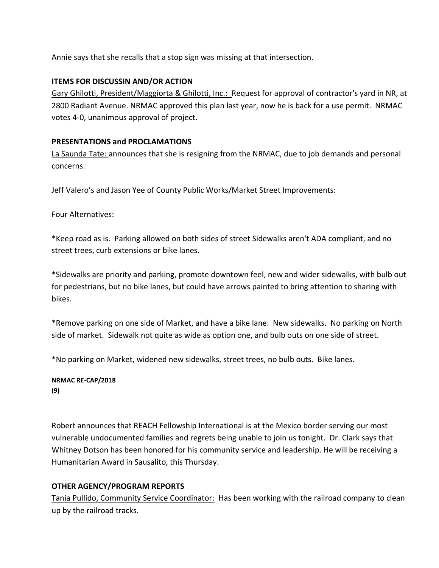Annie says that she recalls that a stop sign was missing at that intersection.

# **ITEMS FOR DISCUSSIN AND/OR ACTION**

Gary Ghilotti, President/Maggiorta & Ghilotti, Inc.: Request for approval of contractor's yard in NR, at 2800 Radiant Avenue. NRMAC approved this plan last year, now he is back for a use permit. NRMAC votes 4-0, unanimous approval of project.

# **PRESENTATIONS and PROCLAMATIONS**

La Saunda Tate: announces that she is resigning from the NRMAC, due to job demands and personal concerns.

Jeff Valero's and Jason Yee of County Public Works/Market Street Improvements:

Four Alternatives:

\*Keep road as is. Parking allowed on both sides of street Sidewalks aren't ADA compliant, and no street trees, curb extensions or bike lanes.

\*Sidewalks are priority and parking, promote downtown feel, new and wider sidewalks, with bulb out for pedestrians, but no bike lanes, but could have arrows painted to bring attention to sharing with bikes.

\*Remove parking on one side of Market, and have a bike lane. New sidewalks. No parking on North side of market. Sidewalk not quite as wide as option one, and bulb outs on one side of street.

\*No parking on Market, widened new sidewalks, street trees, no bulb outs. Bike lanes.

**NRMAC RE-CAP/2018 (9)**

Robert announces that REACH Fellowship International is at the Mexico border serving our most vulnerable undocumented families and regrets being unable to join us tonight. Dr. Clark says that Whitney Dotson has been honored for his community service and leadership. He will be receiving a Humanitarian Award in Sausalito, this Thursday.

# **OTHER AGENCY/PROGRAM REPORTS**

Tania Pullido, Community Service Coordinator: Has been working with the railroad company to clean up by the railroad tracks.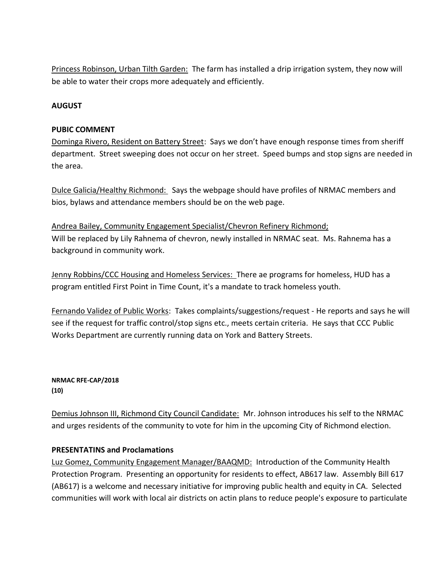Princess Robinson, Urban Tilth Garden: The farm has installed a drip irrigation system, they now will be able to water their crops more adequately and efficiently.

### **AUGUST**

#### **PUBIC COMMENT**

Dominga Rivero, Resident on Battery Street: Says we don't have enough response times from sheriff department. Street sweeping does not occur on her street. Speed bumps and stop signs are needed in the area.

Dulce Galicia/Healthy Richmond: Says the webpage should have profiles of NRMAC members and bios, bylaws and attendance members should be on the web page.

Andrea Bailey, Community Engagement Specialist/Chevron Refinery Richmond; Will be replaced by Lily Rahnema of chevron, newly installed in NRMAC seat. Ms. Rahnema has a background in community work.

Jenny Robbins/CCC Housing and Homeless Services: There ae programs for homeless, HUD has a program entitled First Point in Time Count, it's a mandate to track homeless youth.

Fernando Validez of Public Works: Takes complaints/suggestions/request - He reports and says he will see if the request for traffic control/stop signs etc., meets certain criteria. He says that CCC Public Works Department are currently running data on York and Battery Streets.

**NRMAC RFE-CAP/2018 (10)**

Demius Johnson III, Richmond City Council Candidate: Mr. Johnson introduces his self to the NRMAC and urges residents of the community to vote for him in the upcoming City of Richmond election.

#### **PRESENTATINS and Proclamations**

Luz Gomez, Community Engagement Manager/BAAQMD: Introduction of the Community Health Protection Program. Presenting an opportunity for residents to effect, AB617 law. Assembly Bill 617 (AB617) is a welcome and necessary initiative for improving public health and equity in CA. Selected communities will work with local air districts on actin plans to reduce people's exposure to particulate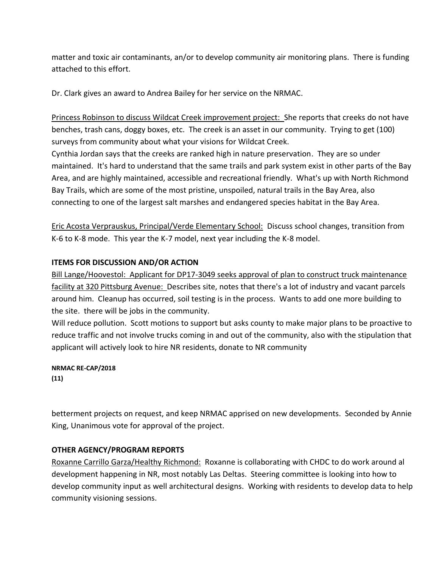matter and toxic air contaminants, an/or to develop community air monitoring plans. There is funding attached to this effort.

Dr. Clark gives an award to Andrea Bailey for her service on the NRMAC.

Princess Robinson to discuss Wildcat Creek improvement project: She reports that creeks do not have benches, trash cans, doggy boxes, etc. The creek is an asset in our community. Trying to get (100) surveys from community about what your visions for Wildcat Creek.

Cynthia Jordan says that the creeks are ranked high in nature preservation. They are so under maintained. It's hard to understand that the same trails and park system exist in other parts of the Bay Area, and are highly maintained, accessible and recreational friendly. What's up with North Richmond Bay Trails, which are some of the most pristine, unspoiled, natural trails in the Bay Area, also connecting to one of the largest salt marshes and endangered species habitat in the Bay Area.

Eric Acosta Verprauskus, Principal/Verde Elementary School: Discuss school changes, transition from K-6 to K-8 mode. This year the K-7 model, next year including the K-8 model.

#### **ITEMS FOR DISCUSSION AND/OR ACTION**

Bill Lange/Hoovestol: Applicant for DP17-3049 seeks approval of plan to construct truck maintenance facility at 320 Pittsburg Avenue: Describes site, notes that there's a lot of industry and vacant parcels around him. Cleanup has occurred, soil testing is in the process. Wants to add one more building to the site. there will be jobs in the community.

Will reduce pollution. Scott motions to support but asks county to make major plans to be proactive to reduce traffic and not involve trucks coming in and out of the community, also with the stipulation that applicant will actively look to hire NR residents, donate to NR community

#### **NRMAC RE-CAP/2018 (11)**

betterment projects on request, and keep NRMAC apprised on new developments. Seconded by Annie King, Unanimous vote for approval of the project.

# **OTHER AGENCY/PROGRAM REPORTS**

Roxanne Carrillo Garza/Healthy Richmond: Roxanne is collaborating with CHDC to do work around al development happening in NR, most notably Las Deltas. Steering committee is looking into how to develop community input as well architectural designs. Working with residents to develop data to help community visioning sessions.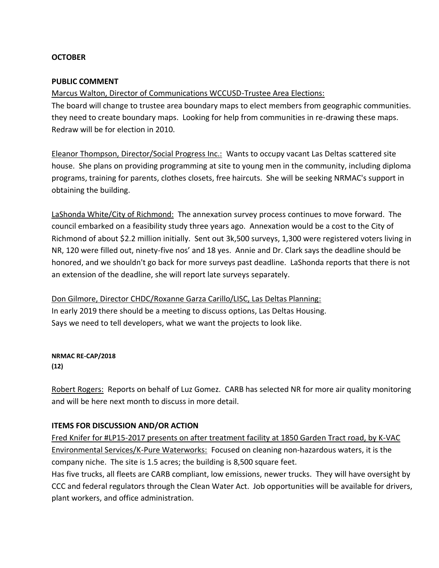### **OCTOBER**

#### **PUBLIC COMMENT**

Marcus Walton, Director of Communications WCCUSD-Trustee Area Elections:

The board will change to trustee area boundary maps to elect members from geographic communities. they need to create boundary maps. Looking for help from communities in re-drawing these maps. Redraw will be for election in 2010.

Eleanor Thompson, Director/Social Progress Inc.: Wants to occupy vacant Las Deltas scattered site house. She plans on providing programming at site to young men in the community, including diploma programs, training for parents, clothes closets, free haircuts. She will be seeking NRMAC's support in obtaining the building.

LaShonda White/City of Richmond: The annexation survey process continues to move forward. The council embarked on a feasibility study three years ago. Annexation would be a cost to the City of Richmond of about \$2.2 million initially. Sent out 3k,500 surveys, 1,300 were registered voters living in NR, 120 were filled out, ninety-five nos' and 18 yes. Annie and Dr. Clark says the deadline should be honored, and we shouldn't go back for more surveys past deadline. LaShonda reports that there is not an extension of the deadline, she will report late surveys separately.

Don Gilmore, Director CHDC/Roxanne Garza Carillo/LISC, Las Deltas Planning: In early 2019 there should be a meeting to discuss options, Las Deltas Housing. Says we need to tell developers, what we want the projects to look like.

**NRMAC RE-CAP/2018 (12)**

Robert Rogers: Reports on behalf of Luz Gomez. CARB has selected NR for more air quality monitoring and will be here next month to discuss in more detail.

#### **ITEMS FOR DISCUSSION AND/OR ACTION**

Fred Knifer for #LP15-2017 presents on after treatment facility at 1850 Garden Tract road, by K-VAC Environmental Services/K-Pure Waterworks: Focused on cleaning non-hazardous waters, it is the company niche. The site is 1.5 acres; the building is 8,500 square feet.

Has five trucks, all fleets are CARB compliant, low emissions, newer trucks. They will have oversight by CCC and federal regulators through the Clean Water Act. Job opportunities will be available for drivers, plant workers, and office administration.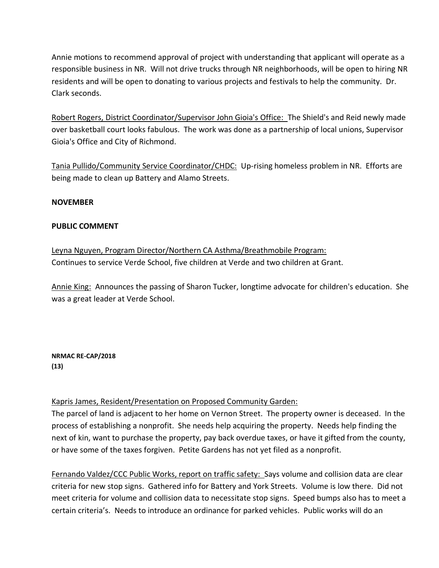Annie motions to recommend approval of project with understanding that applicant will operate as a responsible business in NR. Will not drive trucks through NR neighborhoods, will be open to hiring NR residents and will be open to donating to various projects and festivals to help the community. Dr. Clark seconds.

Robert Rogers, District Coordinator/Supervisor John Gioia's Office: The Shield's and Reid newly made over basketball court looks fabulous. The work was done as a partnership of local unions, Supervisor Gioia's Office and City of Richmond.

Tania Pullido/Community Service Coordinator/CHDC: Up-rising homeless problem in NR. Efforts are being made to clean up Battery and Alamo Streets.

### **NOVEMBER**

### **PUBLIC COMMENT**

Leyna Nguyen, Program Director/Northern CA Asthma/Breathmobile Program: Continues to service Verde School, five children at Verde and two children at Grant.

Annie King: Announces the passing of Sharon Tucker, longtime advocate for children's education. She was a great leader at Verde School.

**NRMAC RE-CAP/2018 (13)**

# Kapris James, Resident/Presentation on Proposed Community Garden:

The parcel of land is adjacent to her home on Vernon Street. The property owner is deceased. In the process of establishing a nonprofit. She needs help acquiring the property. Needs help finding the next of kin, want to purchase the property, pay back overdue taxes, or have it gifted from the county, or have some of the taxes forgiven. Petite Gardens has not yet filed as a nonprofit.

Fernando Valdez/CCC Public Works, report on traffic safety: Says volume and collision data are clear criteria for new stop signs. Gathered info for Battery and York Streets. Volume is low there. Did not meet criteria for volume and collision data to necessitate stop signs. Speed bumps also has to meet a certain criteria's. Needs to introduce an ordinance for parked vehicles. Public works will do an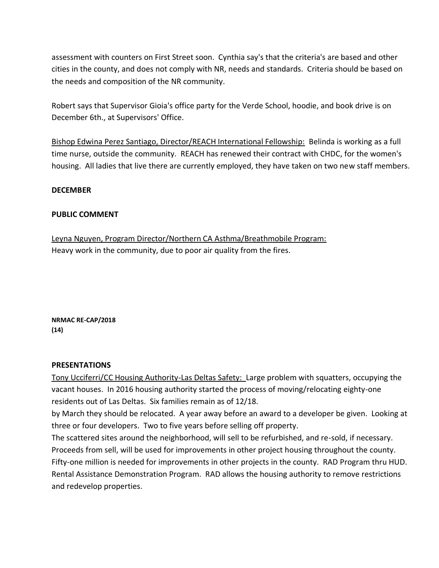assessment with counters on First Street soon. Cynthia say's that the criteria's are based and other cities in the county, and does not comply with NR, needs and standards. Criteria should be based on the needs and composition of the NR community.

Robert says that Supervisor Gioia's office party for the Verde School, hoodie, and book drive is on December 6th., at Supervisors' Office.

Bishop Edwina Perez Santiago, Director/REACH International Fellowship: Belinda is working as a full time nurse, outside the community. REACH has renewed their contract with CHDC, for the women's housing. All ladies that live there are currently employed, they have taken on two new staff members.

### **DECEMBER**

### **PUBLIC COMMENT**

Leyna Nguyen, Program Director/Northern CA Asthma/Breathmobile Program: Heavy work in the community, due to poor air quality from the fires.

**NRMAC RE-CAP/2018 (14)**

#### **PRESENTATIONS**

Tony Ucciferri/CC Housing Authority-Las Deltas Safety: Large problem with squatters, occupying the vacant houses. In 2016 housing authority started the process of moving/relocating eighty-one residents out of Las Deltas. Six families remain as of 12/18.

by March they should be relocated. A year away before an award to a developer be given. Looking at three or four developers. Two to five years before selling off property.

The scattered sites around the neighborhood, will sell to be refurbished, and re-sold, if necessary. Proceeds from sell, will be used for improvements in other project housing throughout the county. Fifty-one million is needed for improvements in other projects in the county. RAD Program thru HUD. Rental Assistance Demonstration Program. RAD allows the housing authority to remove restrictions and redevelop properties.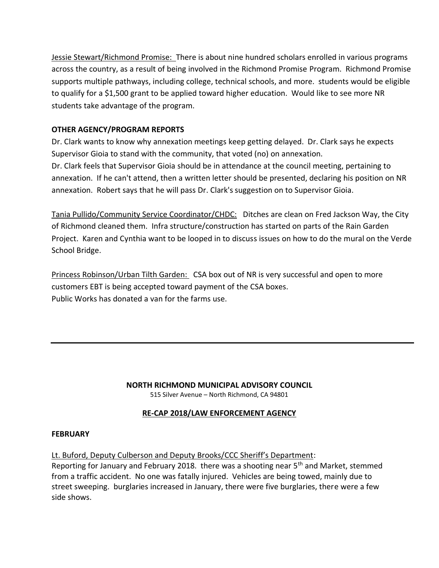Jessie Stewart/Richmond Promise: There is about nine hundred scholars enrolled in various programs across the country, as a result of being involved in the Richmond Promise Program. Richmond Promise supports multiple pathways, including college, technical schools, and more. students would be eligible to qualify for a \$1,500 grant to be applied toward higher education. Would like to see more NR students take advantage of the program.

# **OTHER AGENCY/PROGRAM REPORTS**

Dr. Clark wants to know why annexation meetings keep getting delayed. Dr. Clark says he expects Supervisor Gioia to stand with the community, that voted (no) on annexation. Dr. Clark feels that Supervisor Gioia should be in attendance at the council meeting, pertaining to annexation. If he can't attend, then a written letter should be presented, declaring his position on NR annexation. Robert says that he will pass Dr. Clark's suggestion on to Supervisor Gioia.

Tania Pullido/Community Service Coordinator/CHDC: Ditches are clean on Fred Jackson Way, the City of Richmond cleaned them. Infra structure/construction has started on parts of the Rain Garden Project. Karen and Cynthia want to be looped in to discuss issues on how to do the mural on the Verde School Bridge.

Princess Robinson/Urban Tilth Garden: CSA box out of NR is very successful and open to more customers EBT is being accepted toward payment of the CSA boxes. Public Works has donated a van for the farms use.

# **NORTH RICHMOND MUNICIPAL ADVISORY COUNCIL**

515 Silver Avenue – North Richmond, CA 94801

# **RE-CAP 2018/LAW ENFORCEMENT AGENCY**

#### **FEBRUARY**

Lt. Buford, Deputy Culberson and Deputy Brooks/CCC Sheriff's Department:

Reporting for January and February 2018. there was a shooting near  $5<sup>th</sup>$  and Market, stemmed from a traffic accident. No one was fatally injured. Vehicles are being towed, mainly due to street sweeping. burglaries increased in January, there were five burglaries, there were a few side shows.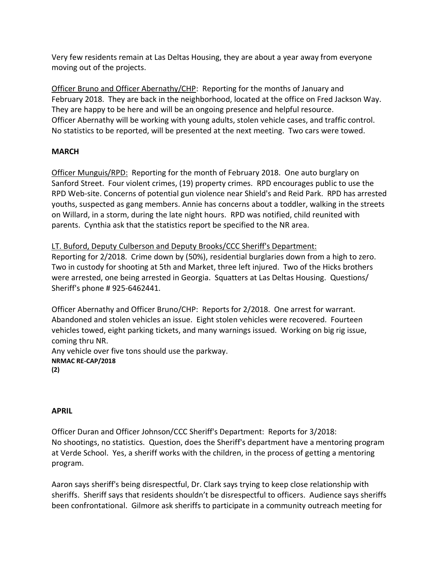Very few residents remain at Las Deltas Housing, they are about a year away from everyone moving out of the projects.

Officer Bruno and Officer Abernathy/CHP: Reporting for the months of January and February 2018. They are back in the neighborhood, located at the office on Fred Jackson Way. They are happy to be here and will be an ongoing presence and helpful resource. Officer Abernathy will be working with young adults, stolen vehicle cases, and traffic control. No statistics to be reported, will be presented at the next meeting. Two cars were towed.

# **MARCH**

Officer Munguis/RPD: Reporting for the month of February 2018. One auto burglary on Sanford Street. Four violent crimes, (19) property crimes. RPD encourages public to use the RPD Web-site. Concerns of potential gun violence near Shield's and Reid Park. RPD has arrested youths, suspected as gang members. Annie has concerns about a toddler, walking in the streets on Willard, in a storm, during the late night hours. RPD was notified, child reunited with parents. Cynthia ask that the statistics report be specified to the NR area.

LT. Buford, Deputy Culberson and Deputy Brooks/CCC Sheriff's Department: Reporting for 2/2018. Crime down by (50%), residential burglaries down from a high to zero. Two in custody for shooting at 5th and Market, three left injured. Two of the Hicks brothers were arrested, one being arrested in Georgia. Squatters at Las Deltas Housing. Questions/ Sheriff's phone # 925-6462441.

Officer Abernathy and Officer Bruno/CHP: Reports for 2/2018. One arrest for warrant. Abandoned and stolen vehicles an issue. Eight stolen vehicles were recovered. Fourteen vehicles towed, eight parking tickets, and many warnings issued. Working on big rig issue, coming thru NR.

Any vehicle over five tons should use the parkway. **NRMAC RE-CAP/2018**

**(2)**

# **APRIL**

Officer Duran and Officer Johnson/CCC Sheriff's Department: Reports for 3/2018: No shootings, no statistics. Question, does the Sheriff's department have a mentoring program at Verde School. Yes, a sheriff works with the children, in the process of getting a mentoring program.

Aaron says sheriff's being disrespectful, Dr. Clark says trying to keep close relationship with sheriffs. Sheriff says that residents shouldn't be disrespectful to officers. Audience says sheriffs been confrontational. Gilmore ask sheriffs to participate in a community outreach meeting for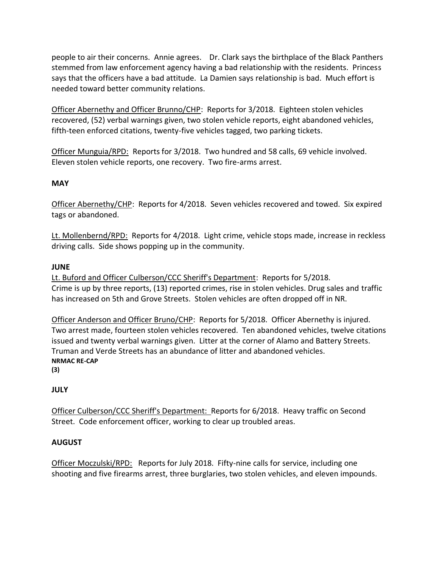people to air their concerns. Annie agrees. Dr. Clark says the birthplace of the Black Panthers stemmed from law enforcement agency having a bad relationship with the residents. Princess says that the officers have a bad attitude. La Damien says relationship is bad. Much effort is needed toward better community relations.

Officer Abernethy and Officer Brunno/CHP: Reports for 3/2018. Eighteen stolen vehicles recovered, (52) verbal warnings given, two stolen vehicle reports, eight abandoned vehicles, fifth-teen enforced citations, twenty-five vehicles tagged, two parking tickets.

Officer Munguia/RPD: Reports for 3/2018. Two hundred and 58 calls, 69 vehicle involved. Eleven stolen vehicle reports, one recovery. Two fire-arms arrest.

# **MAY**

Officer Abernethy/CHP: Reports for 4/2018. Seven vehicles recovered and towed. Six expired tags or abandoned.

Lt. Mollenbernd/RPD: Reports for 4/2018. Light crime, vehicle stops made, increase in reckless driving calls. Side shows popping up in the community.

# **JUNE**

Lt. Buford and Officer Culberson/CCC Sheriff's Department: Reports for 5/2018. Crime is up by three reports, (13) reported crimes, rise in stolen vehicles. Drug sales and traffic has increased on 5th and Grove Streets. Stolen vehicles are often dropped off in NR.

Officer Anderson and Officer Bruno/CHP: Reports for 5/2018. Officer Abernethy is injured. Two arrest made, fourteen stolen vehicles recovered. Ten abandoned vehicles, twelve citations issued and twenty verbal warnings given. Litter at the corner of Alamo and Battery Streets. Truman and Verde Streets has an abundance of litter and abandoned vehicles. **NRMAC RE-CAP**

**(3)**

# **JULY**

Officer Culberson/CCC Sheriff's Department: Reports for 6/2018. Heavy traffic on Second Street. Code enforcement officer, working to clear up troubled areas.

# **AUGUST**

Officer Moczulski/RPD: Reports for July 2018. Fifty-nine calls for service, including one shooting and five firearms arrest, three burglaries, two stolen vehicles, and eleven impounds.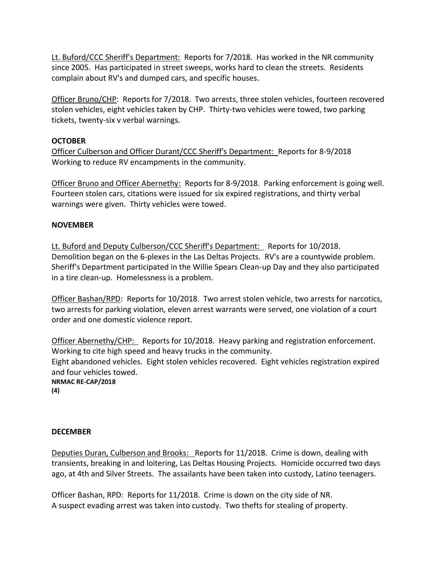Lt. Buford/CCC Sheriff's Department: Reports for 7/2018. Has worked in the NR community since 2005. Has participated in street sweeps, works hard to clean the streets. Residents complain about RV's and dumped cars, and specific houses.

Officer Bruno/CHP: Reports for 7/2018. Two arrests, three stolen vehicles, fourteen recovered stolen vehicles, eight vehicles taken by CHP. Thirty-two vehicles were towed, two parking tickets, twenty-six v verbal warnings.

# **OCTOBER**

Officer Culberson and Officer Durant/CCC Sheriff's Department: Reports for 8-9/2018 Working to reduce RV encampments in the community.

Officer Bruno and Officer Abernethy: Reports for 8-9/2018. Parking enforcement is going well. Fourteen stolen cars, citations were issued for six expired registrations, and thirty verbal warnings were given. Thirty vehicles were towed.

# **NOVEMBER**

Lt. Buford and Deputy Culberson/CCC Sheriff's Department: Reports for 10/2018. Demolition began on the 6-plexes in the Las Deltas Projects. RV's are a countywide problem. Sheriff's Department participated in the Willie Spears Clean-up Day and they also participated in a tire clean-up. Homelessness is a problem.

Officer Bashan/RPD: Reports for 10/2018. Two arrest stolen vehicle, two arrests for narcotics, two arrests for parking violation, eleven arrest warrants were served, one violation of a court order and one domestic violence report.

Officer Abernethy/CHP: Reports for 10/2018. Heavy parking and registration enforcement. Working to cite high speed and heavy trucks in the community. Eight abandoned vehicles. Eight stolen vehicles recovered. Eight vehicles registration expired and four vehicles towed. **NRMAC RE-CAP/2018 (4)**

# **DECEMBER**

Deputies Duran, Culberson and Brooks: Reports for 11/2018. Crime is down, dealing with transients, breaking in and loitering, Las Deltas Housing Projects. Homicide occurred two days ago, at 4th and Silver Streets. The assailants have been taken into custody, Latino teenagers.

Officer Bashan, RPD: Reports for 11/2018. Crime is down on the city side of NR. A suspect evading arrest was taken into custody. Two thefts for stealing of property.